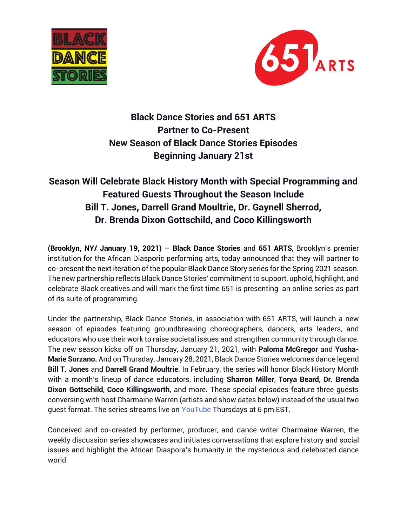



**Black Dance Stories and 651 ARTS Partner to Co-Present New Season of Black Dance Stories Episodes Beginning January 21st** 

## **Season Will Celebrate Black History Month with Special Programming and Featured Guests Throughout the Season Include Bill T. Jones, Darrell Grand Moultrie, Dr. Gaynell Sherrod, Dr. Brenda Dixon Gottschild, and Coco Killingsworth**

**(Brooklyn, NY/ January 19, 2021)** – **Black Dance Stories** and **651 ARTS**, Brooklyn's premier institution for the African Diasporic performing arts, today announced that they will partner to co-present the next iteration of the popular Black Dance Story series for the Spring 2021 season. The new partnership reflects Black Dance Stories' commitment to support, uphold, highlight, and celebrate Black creatives and will mark the first time 651 is presenting an online series as part of its suite of programming.

Under the partnership, Black Dance Stories, in association with 651 ARTS, will launch a new season of episodes featuring groundbreaking choreographers, dancers, arts leaders, and educators who use their work to raise societal issues and strengthen community through dance. The new season kicks off on Thursday, January 21, 2021, with **Paloma McGregor** and **Yusha-Marie Sorzano.** And on Thursday, January 28, 2021, Black Dance Stories welcomes dance legend **Bill T. Jones** and **Darrell Grand Moultrie**. In February, the series will honor Black History Month with a month's lineup of dance educators, including **Sharron Miller**, **Torya Beard**, **Dr. Brenda Dixon Gottschild**, **Coco Killingsworth**, and more. These special episodes feature three guests conversing with host Charmaine Warren (artists and show dates below) instead of the usual two guest format. The series streams live on [YouTube](https://www.youtube.com/channel/UChAdMkDQCaGWCIaBoSZirTg/videos) Thursdays at 6 pm EST.

Conceived and co-created by performer, producer, and dance writer Charmaine Warren, the weekly discussion series showcases and initiates conversations that explore history and social issues and highlight the African Diaspora's humanity in the mysterious and celebrated dance world.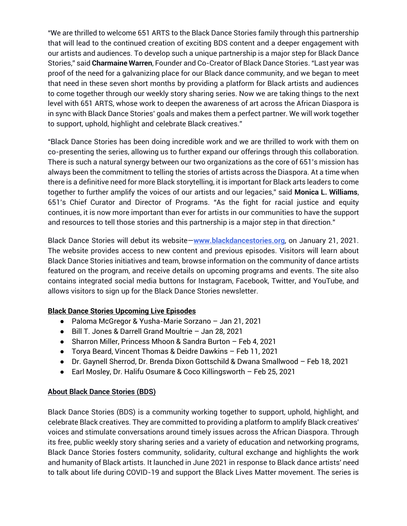"We are thrilled to welcome 651 ARTS to the Black Dance Stories family through this partnership that will lead to the continued creation of exciting BDS content and a deeper engagement with our artists and audiences. To develop such a unique partnership is a major step for Black Dance Stories," said **Charmaine Warren**, Founder and Co-Creator of Black Dance Stories. "Last year was proof of the need for a galvanizing place for our Black dance community, and we began to meet that need in these seven short months by providing a platform for Black artists and audiences to come together through our weekly story sharing series. Now we are taking things to the next level with 651 ARTS, whose work to deepen the awareness of art across the African Diaspora is in sync with Black Dance Stories' goals and makes them a perfect partner. We will work together to support, uphold, highlight and celebrate Black creatives."

"Black Dance Stories has been doing incredible work and we are thrilled to work with them on co-presenting the series, allowing us to further expand our offerings through this collaboration. There is such a natural synergy between our two organizations as the core of 651's mission has always been the commitment to telling the stories of artists across the Diaspora. At a time when there is a definitive need for more Black storytelling, it is important for Black arts leaders to come together to further amplify the voices of our artists and our legacies," said **Monica L. Williams**, 651's Chief Curator and Director of Programs. "As the fight for racial justice and equity continues, it is now more important than ever for artists in our communities to have the support and resources to tell those stories and this partnership is a major step in that direction."

Black Dance Stories will debut its website—**[www.blackdancestories.org](http://www.blackdancestories.org/)**, on January 21, 2021. The website provides access to new content and previous episodes. Visitors will learn about Black Dance Stories initiatives and team, browse information on the community of dance artists featured on the program, and receive details on upcoming programs and events. The site also contains integrated social media buttons for Instagram, Facebook, Twitter, and YouTube, and allows visitors to sign up for the Black Dance Stories newsletter.

## **Black Dance Stories Upcoming Live Episodes**

- Paloma McGregor & Yusha-Marie Sorzano Jan 21, 2021
- Bill T. Jones & Darrell Grand Moultrie Jan 28, 2021
- Sharron Miller, Princess Mhoon & Sandra Burton Feb 4, 2021
- Torya Beard, Vincent Thomas & Deidre Dawkins Feb 11, 2021
- Dr. Gaynell Sherrod, Dr. Brenda Dixon Gottschild & Dwana Smallwood Feb 18, 2021
- Earl Mosley, Dr. Halifu Osumare & Coco Killingsworth Feb 25, 2021

## **About Black Dance Stories (BDS)**

Black Dance Stories (BDS) is a community working together to support, uphold, highlight, and celebrate Black creatives. They are committed to providing a platform to amplify Black creatives' voices and stimulate conversations around timely issues across the African Diaspora. Through its free, public weekly story sharing series and a variety of education and networking programs, Black Dance Stories fosters community, solidarity, cultural exchange and highlights the work and humanity of Black artists. It launched in June 2021 in response to Black dance artists' need to talk about life during COVID-19 and support the Black Lives Matter movement. The series is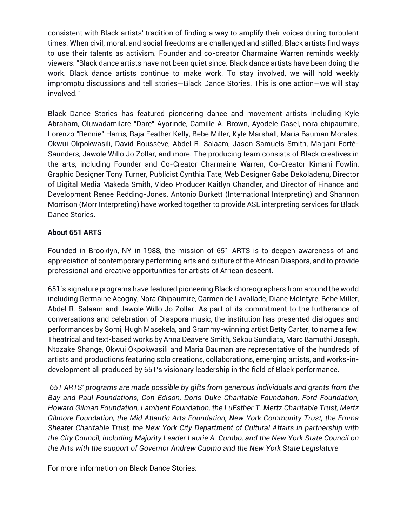consistent with Black artists' tradition of finding a way to amplify their voices during turbulent times. When civil, moral, and social freedoms are challenged and stifled, Black artists find ways to use their talents as activism. Founder and co-creator Charmaine Warren reminds weekly viewers: "Black dance artists have not been quiet since. Black dance artists have been doing the work. Black dance artists continue to make work. To stay involved, we will hold weekly impromptu discussions and tell stories—Black Dance Stories. This is one action—we will stay involved."

Black Dance Stories has featured pioneering dance and movement artists including Kyle Abraham, Oluwadamilare "Dare" Ayorinde, Camille A. Brown, Ayodele Casel, nora chipaumire, Lorenzo "Rennie" Harris, Raja Feather Kelly, Bebe Miller, Kyle Marshall, Maria Bauman Morales, Okwui Okpokwasili, David Roussève, Abdel R. Salaam, Jason Samuels Smith, Marjani Forté-Saunders, Jawole Willo Jo Zollar, and more. The producing team consists of Black creatives in the arts, including Founder and Co-Creator Charmaine Warren, Co-Creator Kimani Fowlin, Graphic Designer Tony Turner, Publicist Cynthia Tate, Web Designer Gabe Dekoladenu, Director of Digital Media Makeda Smith, Video Producer Kaitlyn Chandler, and Director of Finance and Development Renee Redding-Jones. Antonio Burkett (International Interpreting) and Shannon Morrison (Morr Interpreting) have worked together to provide ASL interpreting services for Black Dance Stories.

## **About 651 ARTS**

Founded in Brooklyn, NY in 1988, the mission of 651 ARTS is to deepen awareness of and appreciation of contemporary performing arts and culture of the African Diaspora, and to provide professional and creative opportunities for artists of African descent.

651's signature programs have featured pioneering Black choreographers from around the world including Germaine Acogny, Nora Chipaumire, Carmen de Lavallade, Diane McIntyre, Bebe Miller, Abdel R. Salaam and Jawole Willo Jo Zollar. As part of its commitment to the furtherance of conversations and celebration of Diaspora music, the institution has presented dialogues and performances by Somi, Hugh Masekela, and Grammy-winning artist Betty Carter, to name a few. Theatrical and text-based works by Anna Deavere Smith, Sekou Sundiata, Marc Bamuthi Joseph, Ntozake Shange, Okwui Okpokwasili and Maria Bauman are representative of the hundreds of artists and productions featuring solo creations, collaborations, emerging artists, and works-indevelopment all produced by 651's visionary leadership in the field of Black performance.

*651 ARTS' programs are made possible by gifts from generous individuals and grants from the Bay and Paul Foundations, Con Edison, Doris Duke Charitable Foundation, Ford Foundation, Howard Gilman Foundation, Lambent Foundation, the LuEsther T. Mertz Charitable Trust, Mertz Gilmore Foundation, the Mid Atlantic Arts Foundation, New York Community Trust, the Emma Sheafer Charitable Trust, the New York City Department of Cultural Affairs in partnership with the City Council, including Majority Leader Laurie A. Cumbo, and the New York State Council on the Arts with the support of Governor Andrew Cuomo and the New York State Legislature*

For more information on Black Dance Stories: